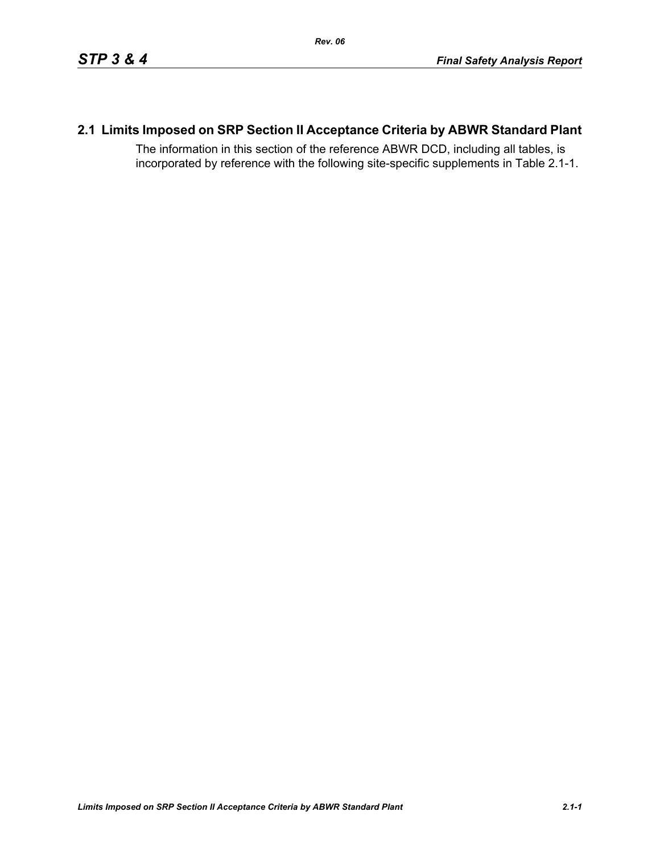# **2.1 Limits Imposed on SRP Section II Acceptance Criteria by ABWR Standard Plant**

The information in this section of the reference ABWR DCD, including all tables, is incorporated by reference with the following site-specific supplements in Table [2.1-1.](#page-1-0)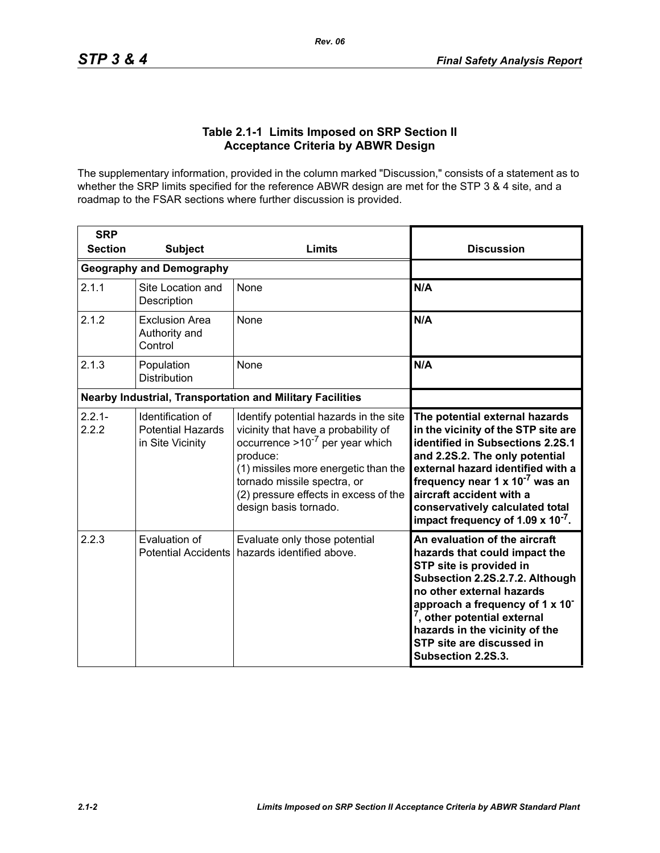## **Table 2.1-1 Limits Imposed on SRP Section II Acceptance Criteria by ABWR Design**

<span id="page-1-0"></span>The supplementary information, provided in the column marked "Discussion," consists of a statement as to whether the SRP limits specified for the reference ABWR design are met for the STP 3 & 4 site, and a roadmap to the FSAR sections where further discussion is provided.

| <b>SRP</b>                                                       |                                                                   |                                                                                                                                                                                                                                                                            |                                                                                                                                                                                                                                                                                                                                                       |
|------------------------------------------------------------------|-------------------------------------------------------------------|----------------------------------------------------------------------------------------------------------------------------------------------------------------------------------------------------------------------------------------------------------------------------|-------------------------------------------------------------------------------------------------------------------------------------------------------------------------------------------------------------------------------------------------------------------------------------------------------------------------------------------------------|
| <b>Section</b>                                                   | <b>Subject</b>                                                    | Limits                                                                                                                                                                                                                                                                     | <b>Discussion</b>                                                                                                                                                                                                                                                                                                                                     |
|                                                                  | <b>Geography and Demography</b>                                   |                                                                                                                                                                                                                                                                            |                                                                                                                                                                                                                                                                                                                                                       |
| 2.1.1                                                            | Site Location and<br>Description                                  | None                                                                                                                                                                                                                                                                       | N/A                                                                                                                                                                                                                                                                                                                                                   |
| 2.1.2                                                            | <b>Exclusion Area</b><br>Authority and<br>Control                 | <b>None</b>                                                                                                                                                                                                                                                                | N/A                                                                                                                                                                                                                                                                                                                                                   |
| 2.1.3                                                            | Population<br><b>Distribution</b>                                 | None                                                                                                                                                                                                                                                                       | N/A                                                                                                                                                                                                                                                                                                                                                   |
| <b>Nearby Industrial, Transportation and Military Facilities</b> |                                                                   |                                                                                                                                                                                                                                                                            |                                                                                                                                                                                                                                                                                                                                                       |
| $2.2.1 -$<br>2.2.2                                               | Identification of<br><b>Potential Hazards</b><br>in Site Vicinity | Identify potential hazards in the site<br>vicinity that have a probability of<br>occurrence $>10^{-7}$ per year which<br>produce:<br>(1) missiles more energetic than the<br>tornado missile spectra, or<br>(2) pressure effects in excess of the<br>design basis tornado. | The potential external hazards<br>in the vicinity of the STP site are<br>identified in Subsections 2.2S.1<br>and 2.2S.2. The only potential<br>external hazard identified with a<br>frequency near 1 x 10 <sup>-7</sup> was an<br>aircraft accident with a<br>conservatively calculated total<br>impact frequency of 1.09 $\times$ 10 <sup>-7</sup> . |
| 2.2.3                                                            | Evaluation of<br><b>Potential Accidents</b>                       | Evaluate only those potential<br>hazards identified above.                                                                                                                                                                                                                 | An evaluation of the aircraft<br>hazards that could impact the<br>STP site is provided in<br>Subsection 2.2S.2.7.2. Although<br>no other external hazards<br>approach a frequency of 1 x 10 <sup>-</sup><br><sup>7</sup> , other potential external<br>hazards in the vicinity of the<br>STP site are discussed in<br>Subsection 2.2S.3.              |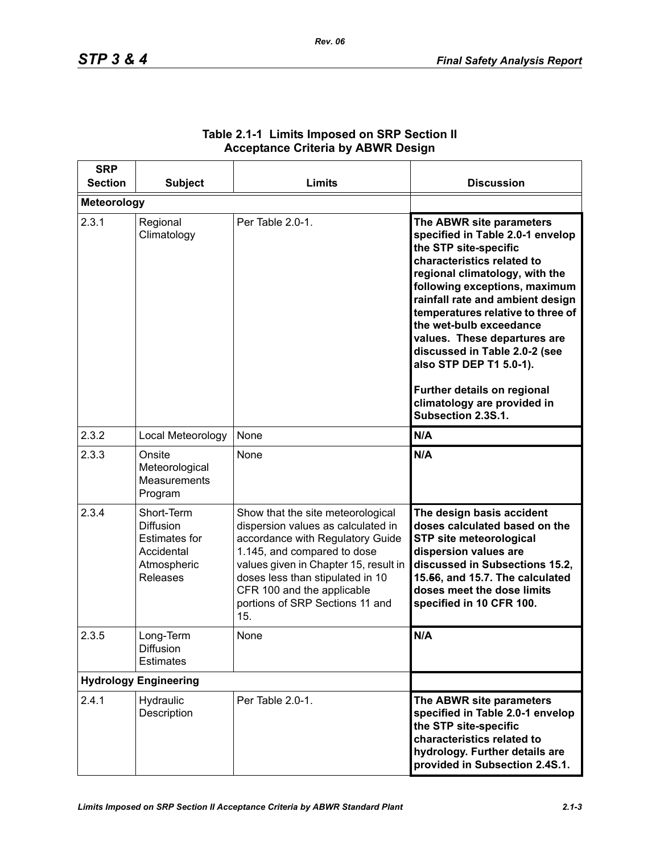| <b>SRP</b><br><b>Section</b> | <b>Subject</b>                                                                                  | Limits                                                                                                                                                                                                                                                                                          | <b>Discussion</b>                                                                                                                                                                                                                                                                                                                                                                                                                                                          |
|------------------------------|-------------------------------------------------------------------------------------------------|-------------------------------------------------------------------------------------------------------------------------------------------------------------------------------------------------------------------------------------------------------------------------------------------------|----------------------------------------------------------------------------------------------------------------------------------------------------------------------------------------------------------------------------------------------------------------------------------------------------------------------------------------------------------------------------------------------------------------------------------------------------------------------------|
| <b>Meteorology</b>           |                                                                                                 |                                                                                                                                                                                                                                                                                                 |                                                                                                                                                                                                                                                                                                                                                                                                                                                                            |
| 2.3.1                        | Regional<br>Climatology                                                                         | Per Table 2.0-1.                                                                                                                                                                                                                                                                                | The ABWR site parameters<br>specified in Table 2.0-1 envelop<br>the STP site-specific<br>characteristics related to<br>regional climatology, with the<br>following exceptions, maximum<br>rainfall rate and ambient design<br>temperatures relative to three of<br>the wet-bulb exceedance<br>values. These departures are<br>discussed in Table 2.0-2 (see<br>also STP DEP T1 5.0-1).<br>Further details on regional<br>climatology are provided in<br>Subsection 2.3S.1. |
| 2.3.2                        | Local Meteorology                                                                               | None                                                                                                                                                                                                                                                                                            | N/A                                                                                                                                                                                                                                                                                                                                                                                                                                                                        |
| 2.3.3                        | Onsite<br>Meteorological<br><b>Measurements</b><br>Program                                      | None                                                                                                                                                                                                                                                                                            | N/A                                                                                                                                                                                                                                                                                                                                                                                                                                                                        |
| 2.3.4                        | Short-Term<br><b>Diffusion</b><br><b>Estimates for</b><br>Accidental<br>Atmospheric<br>Releases | Show that the site meteorological<br>dispersion values as calculated in<br>accordance with Regulatory Guide<br>1.145, and compared to dose<br>values given in Chapter 15, result in<br>doses less than stipulated in 10<br>CFR 100 and the applicable<br>portions of SRP Sections 11 and<br>15. | The design basis accident<br>doses calculated based on the<br><b>STP site meteorological</b><br>dispersion values are<br>discussed in Subsections 15.2,<br>15.56, and 15.7. The calculated<br>doses meet the dose limits<br>specified in 10 CFR 100.                                                                                                                                                                                                                       |
| 2.3.5                        | Long-Term<br><b>Diffusion</b><br><b>Estimates</b>                                               | None                                                                                                                                                                                                                                                                                            | N/A                                                                                                                                                                                                                                                                                                                                                                                                                                                                        |
| <b>Hydrology Engineering</b> |                                                                                                 |                                                                                                                                                                                                                                                                                                 |                                                                                                                                                                                                                                                                                                                                                                                                                                                                            |
| 2.4.1                        | Hydraulic<br>Description                                                                        | Per Table 2.0-1.                                                                                                                                                                                                                                                                                | The ABWR site parameters<br>specified in Table 2.0-1 envelop<br>the STP site-specific<br>characteristics related to<br>hydrology. Further details are<br>provided in Subsection 2.4S.1.                                                                                                                                                                                                                                                                                    |

## **Table 2.1-1 Limits Imposed on SRP Section II Acceptance Criteria by ABWR Design**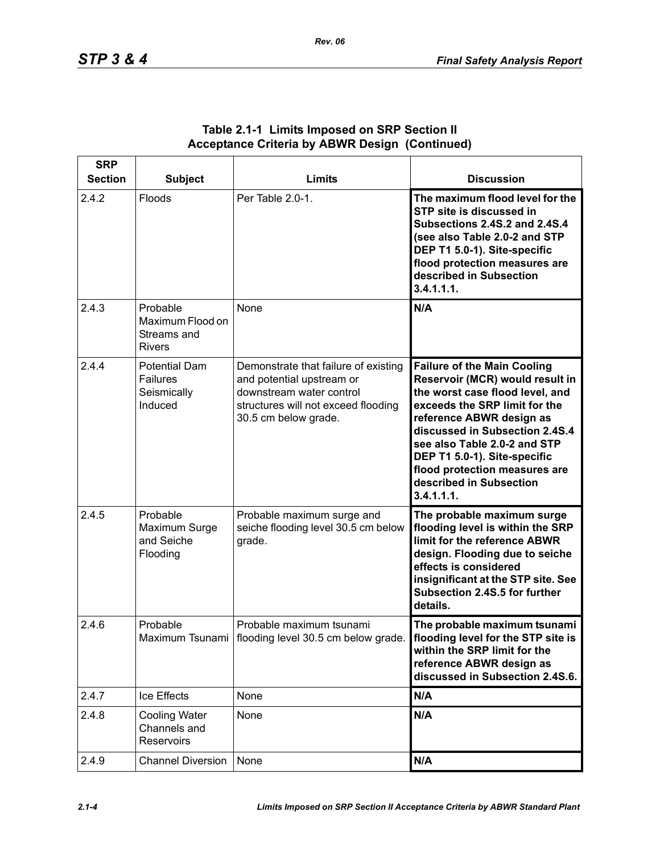| <b>SRP</b><br><b>Section</b> | <b>Subject</b>                                                    | <b>Limits</b>                                                                                                                                                | <b>Discussion</b>                                                                                                                                                                                                                                                                                                                                 |
|------------------------------|-------------------------------------------------------------------|--------------------------------------------------------------------------------------------------------------------------------------------------------------|---------------------------------------------------------------------------------------------------------------------------------------------------------------------------------------------------------------------------------------------------------------------------------------------------------------------------------------------------|
| 2.4.2                        | Floods                                                            | Per Table 2.0-1.                                                                                                                                             | The maximum flood level for the<br>STP site is discussed in<br><b>Subsections 2.4S.2 and 2.4S.4</b><br>(see also Table 2.0-2 and STP<br>DEP T1 5.0-1). Site-specific<br>flood protection measures are<br>described in Subsection<br>3.4.1.1.1.                                                                                                    |
| 2.4.3                        | Probable<br>Maximum Flood on<br>Streams and<br><b>Rivers</b>      | None                                                                                                                                                         | N/A                                                                                                                                                                                                                                                                                                                                               |
| 2.4.4                        | <b>Potential Dam</b><br><b>Failures</b><br>Seismically<br>Induced | Demonstrate that failure of existing<br>and potential upstream or<br>downstream water control<br>structures will not exceed flooding<br>30.5 cm below grade. | <b>Failure of the Main Cooling</b><br>Reservoir (MCR) would result in<br>the worst case flood level, and<br>exceeds the SRP limit for the<br>reference ABWR design as<br>discussed in Subsection 2.4S.4<br>see also Table 2.0-2 and STP<br>DEP T1 5.0-1). Site-specific<br>flood protection measures are<br>described in Subsection<br>3.4.1.1.1. |
| 2.4.5                        | Probable<br>Maximum Surge<br>and Seiche<br>Flooding               | Probable maximum surge and<br>seiche flooding level 30.5 cm below<br>grade.                                                                                  | The probable maximum surge<br>flooding level is within the SRP<br>limit for the reference ABWR<br>design. Flooding due to seiche<br>effects is considered<br>insignificant at the STP site. See<br>Subsection 2.4S.5 for further<br>details.                                                                                                      |
| 2.4.6                        | Probable                                                          | Probable maximum tsunami<br>Maximum Tsunami   flooding level 30.5 cm below grade.                                                                            | The probable maximum tsunami<br>flooding level for the STP site is<br>within the SRP limit for the<br>reference ABWR design as<br>discussed in Subsection 2.4S.6.                                                                                                                                                                                 |
| 2.4.7                        | Ice Effects                                                       | None                                                                                                                                                         | N/A                                                                                                                                                                                                                                                                                                                                               |
| 2.4.8                        | <b>Cooling Water</b><br>Channels and<br>Reservoirs                | None                                                                                                                                                         | N/A                                                                                                                                                                                                                                                                                                                                               |
| 2.4.9                        | <b>Channel Diversion</b>                                          | None                                                                                                                                                         | N/A                                                                                                                                                                                                                                                                                                                                               |

## **Table 2.1-1 Limits Imposed on SRP Section II Acceptance Criteria by ABWR Design (Continued)**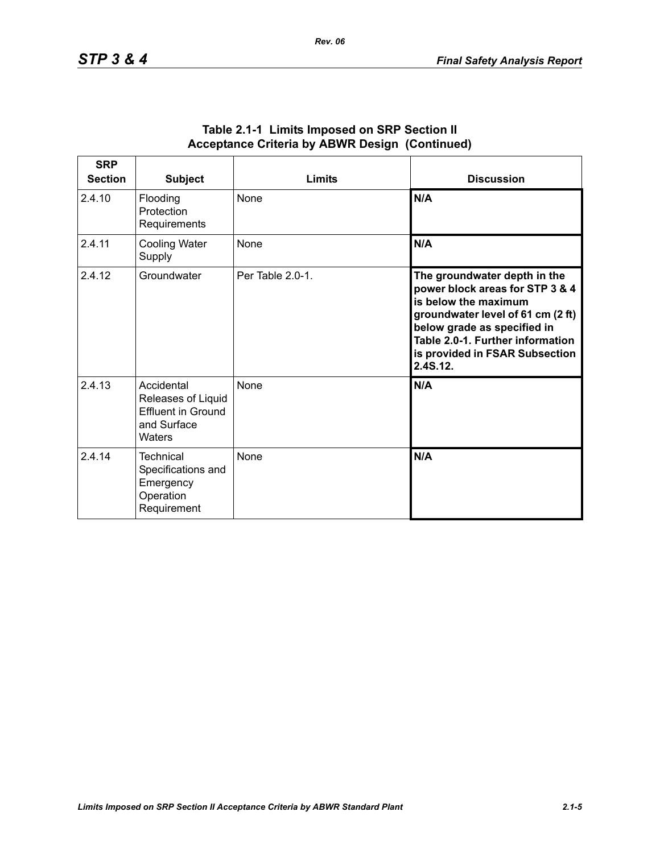| <b>SRP</b><br><b>Section</b> | <b>Subject</b>                                                                  | <b>Limits</b>    | <b>Discussion</b>                                                                                                                                                                                                                             |
|------------------------------|---------------------------------------------------------------------------------|------------------|-----------------------------------------------------------------------------------------------------------------------------------------------------------------------------------------------------------------------------------------------|
| 2.4.10                       | Flooding<br>Protection<br>Requirements                                          | <b>None</b>      | N/A                                                                                                                                                                                                                                           |
| 2.4.11                       | <b>Cooling Water</b><br>Supply                                                  | None             | N/A                                                                                                                                                                                                                                           |
| 2.4.12                       | Groundwater                                                                     | Per Table 2.0-1. | The groundwater depth in the<br>power block areas for STP 3 & 4<br>is below the maximum<br>groundwater level of 61 cm (2 ft)<br>below grade as specified in<br>Table 2.0-1. Further information<br>is provided in FSAR Subsection<br>2.4S.12. |
| 2.4.13                       | Accidental<br>Releases of Liquid<br>Effluent in Ground<br>and Surface<br>Waters | None             | N/A                                                                                                                                                                                                                                           |
| 2.4.14                       | Technical<br>Specifications and<br>Emergency<br>Operation<br>Requirement        | <b>None</b>      | N/A                                                                                                                                                                                                                                           |

#### **Table 2.1-1 Limits Imposed on SRP Section II Acceptance Criteria by ABWR Design (Continued)**